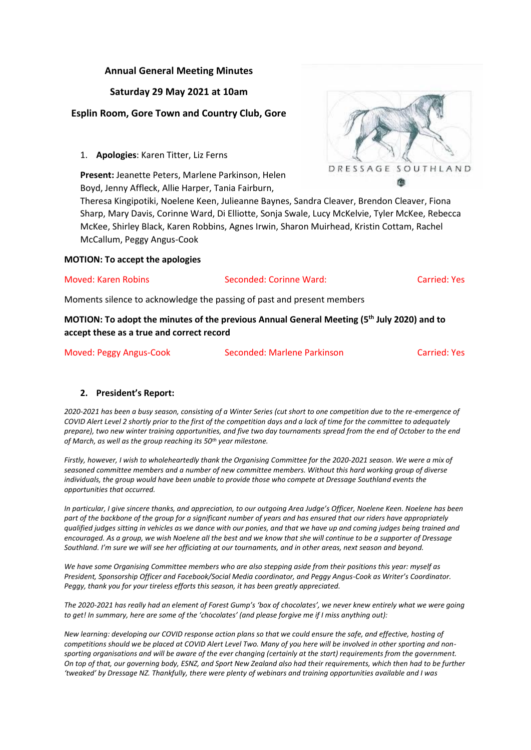# **Annual General Meeting Minutes**

## **Saturday 29 May 2021 at 10am**

# **Esplin Room, Gore Town and Country Club, Gore**

1. **Apologies**: Karen Titter, Liz Ferns

**Present:** Jeanette Peters, Marlene Parkinson, Helen Boyd, Jenny Affleck, Allie Harper, Tania Fairburn,

Theresa Kingipotiki, Noelene Keen, Julieanne Baynes, Sandra Cleaver, Brendon Cleaver, Fiona Sharp, Mary Davis, Corinne Ward, Di Elliotte, Sonja Swale, Lucy McKelvie, Tyler McKee, Rebecca McKee, Shirley Black, Karen Robbins, Agnes Irwin, Sharon Muirhead, Kristin Cottam, Rachel McCallum, Peggy Angus-Cook

**MOTION: To accept the apologies**

Moved: Karen Robins Seconded: Corinne Ward: Carried: Yes

Moments silence to acknowledge the passing of past and present members

**MOTION: To adopt the minutes of the previous Annual General Meeting (5th July 2020) and to accept these as a true and correct record**

Moved: Peggy Angus-Cook Seconded: Marlene Parkinson Carried: Yes

## **2. President's Report:**

*2020-2021 has been a busy season, consisting of a Winter Series (cut short to one competition due to the re-emergence of COVID Alert Level 2 shortly prior to the first of the competition days and a lack of time for the committee to adequately prepare), two new winter training opportunities, and five two day tournaments spread from the end of October to the end of March, as well as the group reaching its 50th year milestone.*

*Firstly, however, I wish to wholeheartedly thank the Organising Committee for the 2020-2021 season. We were a mix of seasoned committee members and a number of new committee members. Without this hard working group of diverse individuals, the group would have been unable to provide those who compete at Dressage Southland events the opportunities that occurred.*

*In particular, I give sincere thanks, and appreciation, to our outgoing Area Judge's Officer, Noelene Keen. Noelene has been part of the backbone of the group for a significant number of years and has ensured that our riders have appropriately qualified judges sitting in vehicles as we dance with our ponies, and that we have up and coming judges being trained and encouraged. As a group, we wish Noelene all the best and we know that she will continue to be a supporter of Dressage Southland. I'm sure we will see her officiating at our tournaments, and in other areas, next season and beyond.*

*We have some Organising Committee members who are also stepping aside from their positions this year: myself as President, Sponsorship Officer and Facebook/Social Media coordinator, and Peggy Angus-Cook as Writer's Coordinator. Peggy, thank you for your tireless efforts this season, it has been greatly appreciated.*

*The 2020-2021 has really had an element of Forest Gump's 'box of chocolates', we never knew entirely what we were going to get! In summary, here are some of the 'chocolates' (and please forgive me if I miss anything out):*

*New learning: developing our COVID response action plans so that we could ensure the safe, and effective, hosting of competitions should we be placed at COVID Alert Level Two. Many of you here will be involved in other sporting and nonsporting organisations and will be aware of the ever changing (certainly at the start) requirements from the government. On top of that, our governing body, ESNZ, and Sport New Zealand also had their requirements, which then had to be further 'tweaked' by Dressage NZ. Thankfully, there were plenty of webinars and training opportunities available and I was* 

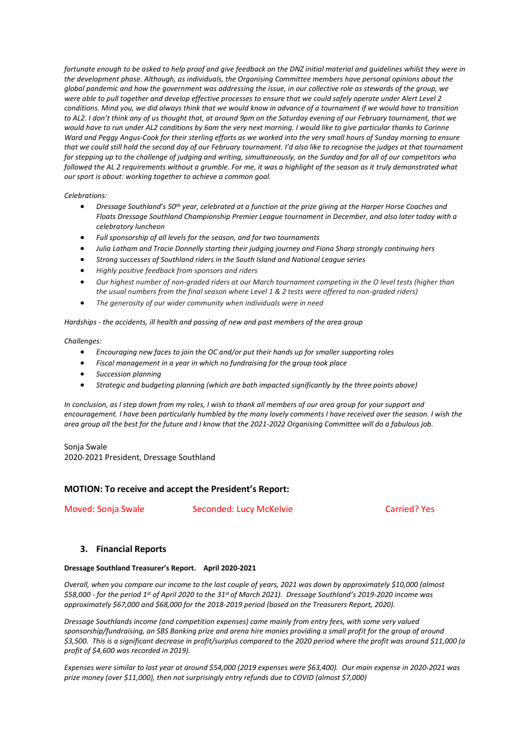*fortunate enough to be asked to help proof and give feedback on the DNZ initial material and guidelines whilst they were in the development phase. Although, as individuals, the Organising Committee members have personal opinions about the global pandemic and how the government was addressing the issue, in our collective role as stewards of the group, we were able to pull together and develop effective processes to ensure that we could safely operate under Alert Level 2 conditions. Mind you, we did always think that we would know in advance of a tournament if we would have to transition to AL2. I don't think any of us thought that, at around 9pm on the Saturday evening of our February tournament, that we would have to run under AL2 conditions by 6am the very next morning. I would like to give particular thanks to Corinne Ward and Peggy Angus-Cook for their sterling efforts as we worked into the very small hours of Sunday morning to ensure that we could still hold the second day of our February tournament. I'd also like to recognise the judges at that tournament for stepping up to the challenge of judging and writing, simultaneously, on the Sunday and for all of our competitors who followed the AL 2 requirements without a grumble. For me, it was a highlight of the season as it truly demonstrated what our sport is about: working together to achieve a common goal.*

*Celebrations:*

- *Dressage Southland's 50th year, celebrated at a function at the prize giving at the Harper Horse Coaches and Floats Dressage Southland Championship Premier League tournament in December, and also later today with a celebratory luncheon*
- *Full sponsorship of all levels for the season, and for two tournaments*
- *Julia Latham and Tracie Donnelly starting their judging journey and Fiona Sharp strongly continuing hers*
- *Strong successes of Southland riders in the South Island and National League series*
- *Highly positive feedback from sponsors and riders*
- *Our highest number of non-graded riders at our March tournament competing in the O level tests (higher than the usual numbers from the final season where Level 1 & 2 tests were offered to non-graded riders)*
- *The generosity of our wider community when individuals were in need*

*Hardships - the accidents, ill health and passing of new and past members of the area group*

*Challenges:*

- *Encouraging new faces to join the OC and/or put their hands up for smaller supporting roles*
- *Fiscal management in a year in which no fundraising for the group took place*
- *Succession planning*
- *Strategic and budgeting planning (which are both impacted significantly by the three points above)*

*In conclusion, as I step down from my roles, I wish to thank all members of our area group for your support and encouragement. I have been particularly humbled by the many lovely comments I have received over the season. I wish the area group all the best for the future and I know that the 2021-2022 Organising Committee will do a fabulous job.*

Sonja Swale 2020-2021 President, Dressage Southland

#### **MOTION: To receive and accept the President's Report:**

Moved: Sonja Swale Seconded: Lucy McKelvie Carried? Yes

#### **3. Financial Reports**

#### **Dressage Southland Treasurer's Report. April 2020-2021**

*Overall, when you compare our income to the last couple of years, 2021 was down by approximately \$10,000 (almost \$58,000 - for the period 1st of April 2020 to the 31st of March 2021). Dressage Southland's 2019-2020 income was approximately \$67,000 and \$68,000 for the 2018-2019 period (based on the Treasurers Report, 2020).*

*Dressage Southlands income (and competition expenses) came mainly from entry fees, with some very valued sponsorship/fundraising, an SBS Banking prize and arena hire monies providing a small profit for the group of around \$3,500. This is a significant decrease in profit/surplus compared to the 2020 period where the profit was around \$11,000 (a profit of \$4,600 was recorded in 2019).*

*Expenses were similar to last year at around \$54,000 (2019 expenses were \$63,400). Our main expense in 2020-2021 was prize money (over \$11,000), then not surprisingly entry refunds due to COVID (almost \$7,000)*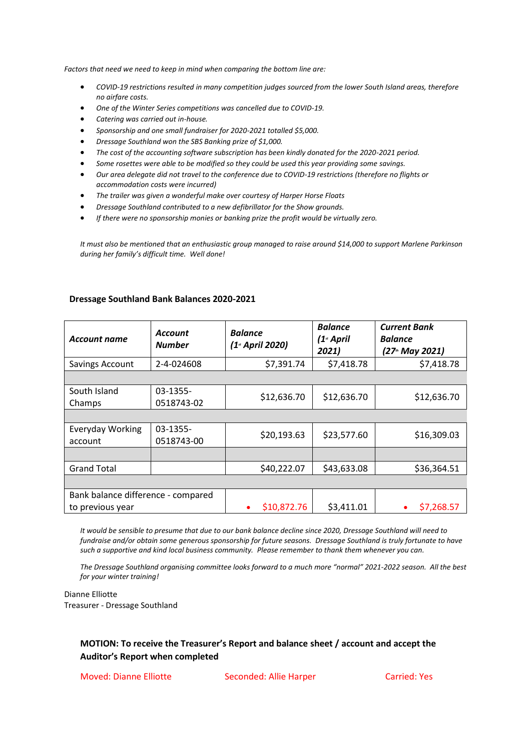*Factors that need we need to keep in mind when comparing the bottom line are:*

- *COVID-19 restrictions resulted in many competition judges sourced from the lower South Island areas, therefore no airfare costs.*
- *One of the Winter Series competitions was cancelled due to COVID-19.*
- *Catering was carried out in-house.*
- *Sponsorship and one small fundraiser for 2020-2021 totalled \$5,000.*
- *Dressage Southland won the SBS Banking prize of \$1,000.*
- *The cost of the accounting software subscription has been kindly donated for the 2020-2021 period.*
- *Some rosettes were able to be modified so they could be used this year providing some savings.*
- *Our area delegate did not travel to the conference due to COVID-19 restrictions (therefore no flights or accommodation costs were incurred)*
- *The trailer was given a wonderful make over courtesy of Harper Horse Floats*
- *Dressage Southland contributed to a new defibrillator for the Show grounds.*
- *If there were no sponsorship monies or banking prize the profit would be virtually zero.*

*It must also be mentioned that an enthusiastic group managed to raise around \$14,000 to support Marlene Parkinson during her family's difficult time. Well done!*

| <b>Account name</b>                | <b>Account</b><br><b>Number</b> | <b>Balance</b><br>(1 <sup>st</sup> April 2020) | <b>Balance</b><br>$(1st$ April<br>2021) | <b>Current Bank</b><br>Balance<br>(27 <sup>th</sup> May 2021) |
|------------------------------------|---------------------------------|------------------------------------------------|-----------------------------------------|---------------------------------------------------------------|
| Savings Account                    | 2-4-024608                      | \$7,391.74                                     | \$7,418.78                              | \$7,418.78                                                    |
|                                    |                                 |                                                |                                         |                                                               |
| South Island<br>Champs             | 03-1355-<br>0518743-02          | \$12,636.70                                    | \$12,636.70                             | \$12,636.70                                                   |
|                                    |                                 |                                                |                                         |                                                               |
| Everyday Working<br>account        | 03-1355-<br>0518743-00          | \$20,193.63                                    | \$23,577.60                             | \$16,309.03                                                   |
|                                    |                                 |                                                |                                         |                                                               |
| <b>Grand Total</b>                 |                                 | \$40,222.07                                    | \$43,633.08                             | \$36,364.51                                                   |
|                                    |                                 |                                                |                                         |                                                               |
| Bank balance difference - compared |                                 |                                                |                                         |                                                               |
| to previous year                   |                                 | \$10,872.76                                    | \$3,411.01                              | \$7,268.57                                                    |

#### **Dressage Southland Bank Balances 2020-2021**

*It would be sensible to presume that due to our bank balance decline since 2020, Dressage Southland will need to fundraise and/or obtain some generous sponsorship for future seasons. Dressage Southland is truly fortunate to have such a supportive and kind local business community. Please remember to thank them whenever you can.*

*The Dressage Southland organising committee looks forward to a much more "normal" 2021-2022 season. All the best for your winter training!*

Dianne Elliotte Treasurer - Dressage Southland

# **MOTION: To receive the Treasurer's Report and balance sheet / account and accept the Auditor's Report when completed**

Moved: Dianne Elliotte Seconded: Allie Harper Carried: Yes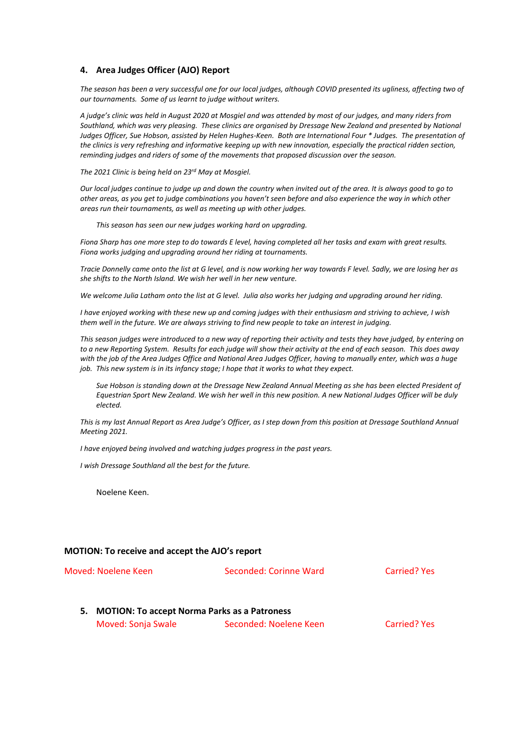#### **4. Area Judges Officer (AJO) Report**

*The season has been a very successful one for our local judges, although COVID presented its ugliness, affecting two of our tournaments. Some of us learnt to judge without writers.*

*A judge's clinic was held in August 2020 at Mosgiel and was attended by most of our judges, and many riders from Southland, which was very pleasing. These clinics are organised by Dressage New Zealand and presented by National Judges Officer, Sue Hobson, assisted by Helen Hughes-Keen. Both are International Four \* Judges. The presentation of the clinics is very refreshing and informative keeping up with new innovation, especially the practical ridden section, reminding judges and riders of some of the movements that proposed discussion over the season.*

*The 2021 Clinic is being held on 23rd May at Mosgiel.*

*Our local judges continue to judge up and down the country when invited out of the area. It is always good to go to other areas, as you get to judge combinations you haven't seen before and also experience the way in which other areas run their tournaments, as well as meeting up with other judges.*

*This season has seen our new judges working hard on upgrading.*

*Fiona Sharp has one more step to do towards E level, having completed all her tasks and exam with great results. Fiona works judging and upgrading around her riding at tournaments.*

*Tracie Donnelly came onto the list at G level, and is now working her way towards F level. Sadly, we are losing her as she shifts to the North Island. We wish her well in her new venture.*

*We welcome Julia Latham onto the list at G level. Julia also works her judging and upgrading around her riding.*

*I have enjoyed working with these new up and coming judges with their enthusiasm and striving to achieve, I wish them well in the future. We are always striving to find new people to take an interest in judging.*

*This season judges were introduced to a new way of reporting their activity and tests they have judged, by entering on to a new Reporting System. Results for each judge will show their activity at the end of each season. This does away with the job of the Area Judges Office and National Area Judges Officer, having to manually enter, which was a huge job. This new system is in its infancy stage; I hope that it works to what they expect.*

*Sue Hobson is standing down at the Dressage New Zealand Annual Meeting as she has been elected President of Equestrian Sport New Zealand. We wish her well in this new position. A new National Judges Officer will be duly elected.*

*This is my last Annual Report as Area Judge's Officer, as I step down from this position at Dressage Southland Annual Meeting 2021.* 

*I have enjoyed being involved and watching judges progress in the past years.*

*I wish Dressage Southland all the best for the future.*

Noelene Keen.

#### **MOTION: To receive and accept the AJO's report**

Moved: Noelene Keen Seconded: Corinne Ward Carried? Yes **5. MOTION: To accept Norma Parks as a Patroness** Moved: Sonja Swale Seconded: Noelene Keen Carried? Yes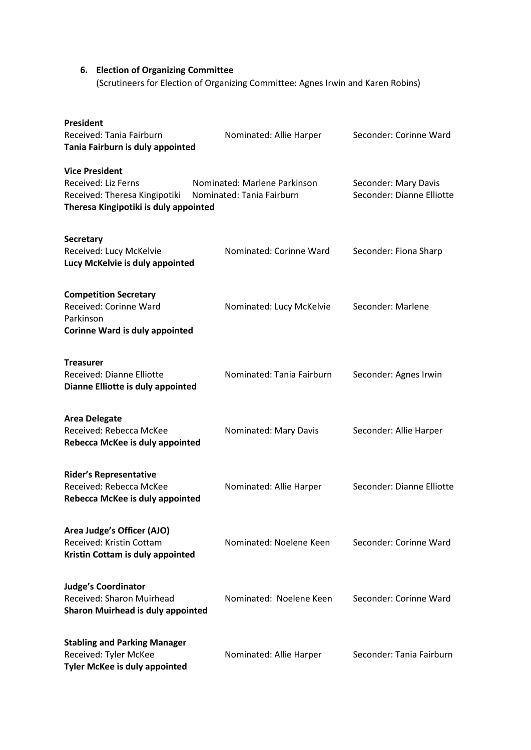# **6. Election of Organizing Committee** (Scrutineers for Election of Organizing Committee: Agnes Irwin and Karen Robins)

| <b>President</b><br>Received: Tania Fairburn<br>Tania Fairburn is duly appointed                                       | Nominated: Allie Harper                                   | Seconder: Corinne Ward                            |
|------------------------------------------------------------------------------------------------------------------------|-----------------------------------------------------------|---------------------------------------------------|
| <b>Vice President</b><br>Received: Liz Ferns<br>Received: Theresa Kingipotiki<br>Theresa Kingipotiki is duly appointed | Nominated: Marlene Parkinson<br>Nominated: Tania Fairburn | Seconder: Mary Davis<br>Seconder: Dianne Elliotte |
| <b>Secretary</b><br>Received: Lucy McKelvie<br>Lucy McKelvie is duly appointed                                         | Nominated: Corinne Ward                                   | Seconder: Fiona Sharp                             |
| <b>Competition Secretary</b><br>Received: Corinne Ward<br>Parkinson<br><b>Corinne Ward is duly appointed</b>           | Nominated: Lucy McKelvie                                  | Seconder: Marlene                                 |
| <b>Treasurer</b><br>Received: Dianne Elliotte<br>Dianne Elliotte is duly appointed                                     | Nominated: Tania Fairburn                                 | Seconder: Agnes Irwin                             |
| <b>Area Delegate</b><br>Received: Rebecca McKee<br>Rebecca McKee is duly appointed                                     | Nominated: Mary Davis                                     | Seconder: Allie Harper                            |
| <b>Rider's Representative</b><br>Received: Rebecca McKee<br>Rebecca McKee is duly appointed                            | Nominated: Allie Harper                                   | Seconder: Dianne Elliotte                         |
| Area Judge's Officer (AJO)<br>Received: Kristin Cottam<br>Kristin Cottam is duly appointed                             | Nominated: Noelene Keen                                   | Seconder: Corinne Ward                            |
| <b>Judge's Coordinator</b><br>Received: Sharon Muirhead<br><b>Sharon Muirhead is duly appointed</b>                    | Nominated: Noelene Keen                                   | Seconder: Corinne Ward                            |
| <b>Stabling and Parking Manager</b><br>Received: Tyler McKee<br><b>Tyler McKee is duly appointed</b>                   | Nominated: Allie Harper                                   | Seconder: Tania Fairburn                          |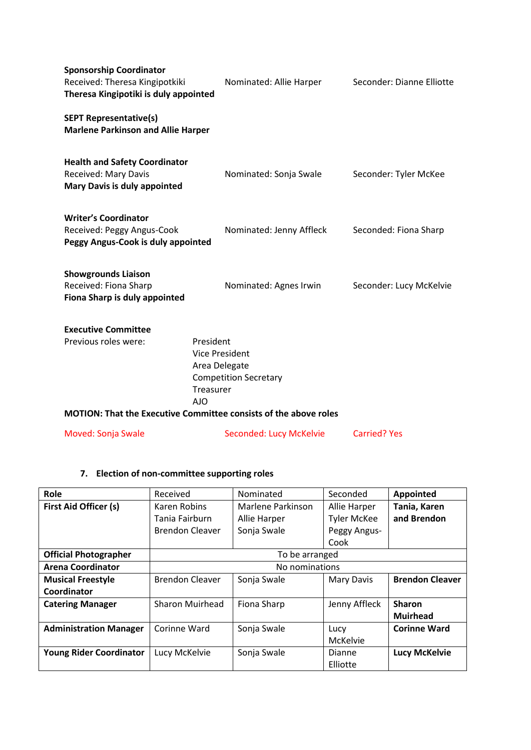| <b>Sponsorship Coordinator</b><br>Received: Theresa Kingipotkiki<br>Theresa Kingipotiki is duly appointed | Nominated: Allie Harper                                                                                                                                                            | Seconder: Dianne Elliotte |
|-----------------------------------------------------------------------------------------------------------|------------------------------------------------------------------------------------------------------------------------------------------------------------------------------------|---------------------------|
| <b>SEPT Representative(s)</b><br><b>Marlene Parkinson and Allie Harper</b>                                |                                                                                                                                                                                    |                           |
| <b>Health and Safety Coordinator</b><br>Received: Mary Davis<br><b>Mary Davis is duly appointed</b>       | Nominated: Sonja Swale                                                                                                                                                             | Seconder: Tyler McKee     |
| <b>Writer's Coordinator</b><br>Received: Peggy Angus-Cook<br>Peggy Angus-Cook is duly appointed           | Nominated: Jenny Affleck                                                                                                                                                           | Seconded: Fiona Sharp     |
| <b>Showgrounds Liaison</b><br>Received: Fiona Sharp<br>Fiona Sharp is duly appointed                      | Nominated: Agnes Irwin                                                                                                                                                             | Seconder: Lucy McKelvie   |
| <b>Executive Committee</b>                                                                                |                                                                                                                                                                                    |                           |
| Previous roles were:                                                                                      | President<br><b>Vice President</b><br>Area Delegate<br><b>Competition Secretary</b><br>Treasurer<br>AIO<br><b>MOTION: That the Executive Committee consists of the above roles</b> |                           |
| Moved: Sonja Swale                                                                                        | Seconded: Lucy McKelvie                                                                                                                                                            | <b>Carried? Yes</b>       |
|                                                                                                           |                                                                                                                                                                                    |                           |

# **7. Election of non-committee supporting roles**

| Role                           | Received               | Nominated         | Seconded           | <b>Appointed</b>       |
|--------------------------------|------------------------|-------------------|--------------------|------------------------|
| <b>First Aid Officer (s)</b>   | Karen Robins           | Marlene Parkinson | Allie Harper       | Tania, Karen           |
|                                | Tania Fairburn         | Allie Harper      | <b>Tyler McKee</b> | and Brendon            |
|                                | <b>Brendon Cleaver</b> | Sonja Swale       | Peggy Angus-       |                        |
|                                |                        |                   | Cook               |                        |
| <b>Official Photographer</b>   | To be arranged         |                   |                    |                        |
| <b>Arena Coordinator</b>       | No nominations         |                   |                    |                        |
| <b>Musical Freestyle</b>       | <b>Brendon Cleaver</b> | Sonja Swale       | <b>Mary Davis</b>  | <b>Brendon Cleaver</b> |
| Coordinator                    |                        |                   |                    |                        |
| <b>Catering Manager</b>        | <b>Sharon Muirhead</b> | Fiona Sharp       | Jenny Affleck      | <b>Sharon</b>          |
|                                |                        |                   |                    | <b>Muirhead</b>        |
| <b>Administration Manager</b>  | Corinne Ward           | Sonja Swale       | Lucy               | <b>Corinne Ward</b>    |
|                                |                        |                   | McKelvie           |                        |
| <b>Young Rider Coordinator</b> | Lucy McKelvie          | Sonja Swale       | Dianne             | <b>Lucy McKelvie</b>   |
|                                |                        |                   | Elliotte           |                        |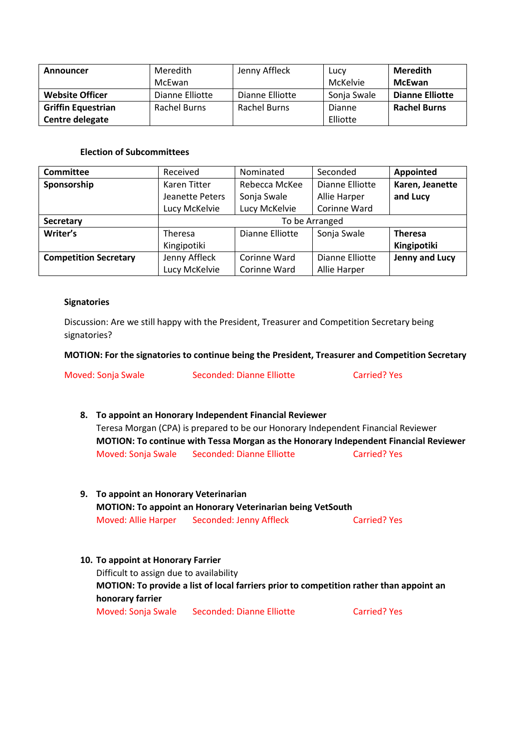| Announcer                 | Meredith        | Jenny Affleck   | Lucy        | <b>Meredith</b>        |
|---------------------------|-----------------|-----------------|-------------|------------------------|
|                           | McEwan          |                 | McKelvie    | <b>McEwan</b>          |
| <b>Website Officer</b>    | Dianne Elliotte | Dianne Elliotte | Sonja Swale | <b>Dianne Elliotte</b> |
| <b>Griffin Equestrian</b> | Rachel Burns    | Rachel Burns    | Dianne      | <b>Rachel Burns</b>    |
| Centre delegate           |                 |                 | Elliotte    |                        |

# **Election of Subcommittees**

| <b>Committee</b>             | Received        | Nominated       | Seconded        | <b>Appointed</b> |
|------------------------------|-----------------|-----------------|-----------------|------------------|
| Sponsorship                  | Karen Titter    | Rebecca McKee   | Dianne Elliotte | Karen, Jeanette  |
|                              | Jeanette Peters | Sonja Swale     | Allie Harper    | and Lucy         |
|                              | Lucy McKelvie   | Lucy McKelvie   | Corinne Ward    |                  |
| Secretary                    | To be Arranged  |                 |                 |                  |
| Writer's                     | Theresa         | Dianne Elliotte | Sonja Swale     | <b>Theresa</b>   |
|                              | Kingipotiki     |                 |                 | Kingipotiki      |
| <b>Competition Secretary</b> | Jenny Affleck   | Corinne Ward    | Dianne Elliotte | Jenny and Lucy   |
|                              | Lucy McKelvie   | Corinne Ward    | Allie Harper    |                  |

## **Signatories**

Discussion: Are we still happy with the President, Treasurer and Competition Secretary being signatories?

## **MOTION: For the signatories to continue being the President, Treasurer and Competition Secretary**

Moved: Sonja Swale Seconded: Dianne Elliotte Carried? Yes

- **8. To appoint an Honorary Independent Financial Reviewer** Teresa Morgan (CPA) is prepared to be our Honorary Independent Financial Reviewer **MOTION: To continue with Tessa Morgan as the Honorary Independent Financial Reviewer** Moved: Sonja Swale Seconded: Dianne Elliotte Carried? Yes
- **9. To appoint an Honorary Veterinarian MOTION: To appoint an Honorary Veterinarian being VetSouth** Moved: Allie Harper Seconded: Jenny Affleck Carried? Yes
- **10. To appoint at Honorary Farrier** Difficult to assign due to availability **MOTION: To provide a list of local farriers prior to competition rather than appoint an honorary farrier** Moved: Sonja Swale Seconded: Dianne Elliotte Carried? Yes